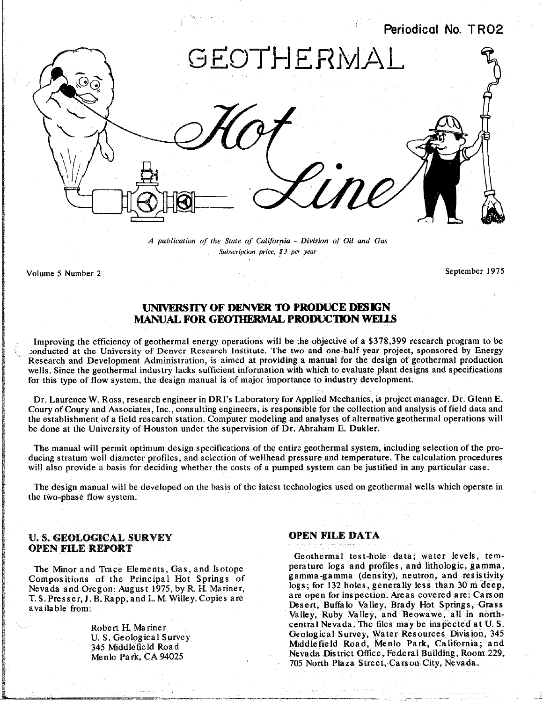

*A publication of the State of California* **-** *Division of Oil and Gas Subscriptionprice*, *\$3 per year*

Volume 5 N**u**mber 2 Sept**e**mber 1975

## **UNIVERS**IT**Y OF DENVER TO PRODUCE DESIGN MANUAL FOR GEOTHERMAL PRODUCTION WELLS**

Improving the efficiency of geothermal energy operations will be the objective of a \$378,399 research program to be conducted at the University of Denver Research Institute. The two and one-half year project, sponsored by Research and Development Administration, is aimed at providing a manual for the design of geothermal production wells. Since the geothermal industry lacks sufficient information with which to evaluate plant designs and specifications For this type of  $f_{\text{OW}}$  vectors the design manual is of major importance to industry development for this type of flow system, the design manual is of major importance to industry development.

Dr. Laurence W. Ross, research engineer in DRI's Laboratory for *A*pplied Mechanics, is project manager. Dr. Glenn E. the establishment of a field research station. Computer modeling and analyses of alternative geothermal operations will the done at the University of Houston under the supervision of  $\overline{D}r$  Abraham  $\overline{F}$  Dukler be done at the University of Houston under the supervision of Dr. Abraham E. Dukler.

The manual will permit optimum design specifications of the entire geothermal system, including selection of the pro-<br>ducing stratum well diameter profiles, and selection of wellhead pressure and temperature. The calculati will also provide a basis for deciding whether the costs of a pumped system can be justified in any particular case. will als**o** pr**o**vide a bas**i**s for deciding whether the co**s**ts of a pumped syste**m** can be justified in any particular case**.**

Th**e** d**es**ign manual will b**e** dev**e**loped on **t**he ba**s**i**s** of the late**st** technologies used on geo**t**he**r**mal wells which op**e**rate in the **t**wo-phase flow s**y**stem.

## U. **S**. **GE**O**LOGI**C**AL SU**R**VEY OPEN FILE DATA OPE**N **FI**L**E REPORT**

**compositions** of the Principal Hot Springs of  $\frac{1}{2}$  logs; for 132 holes, generally less than 30 m deep, Nevada and Oregon: August 1975, by R. H. Mariner, T.S. Presser, J. B. Rapp, and L. M. Willey. Copies are are open for inspection. Areas covered are: Carson available from. And the state which was covered are: Carson T. S. S. Buffalo Valley, Brady Hot Springs, Grass

Geothermal test-hole data; water levels, temperature logs and profiles, and lithologic, gamma, The Minor and Trace Elements, Gas, and Isotope perature logs and profiles, and lithologic, gamma, Compositions of the Principal Hot Springs of gamma-gamma (density), neutron, and resistivity Valley, Ruby Valley, and Beowawe, all in northcentral Nevada. The files may be inspected at U.S. Robert **H**. Mariner central Nevada. The files may be inspected at U.S.<br>U.S. Geological Survey Geological Survey, Water Resources Division, 345 U. S. Geological Survey Geological Survey Middle field Road, Menlo Park, California; and 345 Middle field Road, 345 Middlefield Road Road Mevada District Office, Federal Building, Room 229, Menlo Park, CA 94025 Menlo Park, CA 94025 Nevada District Officers **Plaza Street, Carson City, Nevada** Building, *Room 205, Newada* Building, *Room 205, Newada* Building, *Room 205, Newada* Building, *Room 205, Newada* Building, *Room 205, New* 705 North Plaza Street, Carson *C*ity, Nevada.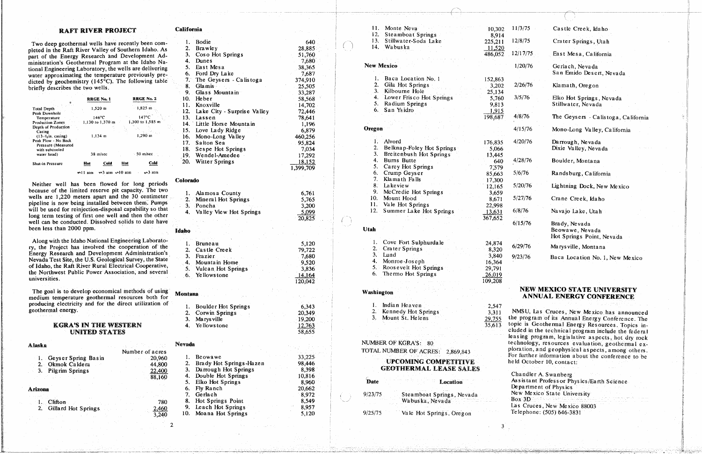## **RAFT RIVER PROJECT**

Two deep geothermal wells have recently been completed in the Raft River Valley of Southern Idaho. As part of the Energy Research and Development Administration's Geothermal Program at the Idaho National Engineering Laboratory, the wells are delivering water approximating the temperature previously predicted by geochemistry ( $145^{\circ}$ C). The following table briefly describes the two wells.

|                                                                                                  |            | <b>RRGE No. 1</b>          |            | <b>RRGE No. 2</b>   |  |
|--------------------------------------------------------------------------------------------------|------------|----------------------------|------------|---------------------|--|
| <b>Total Depth</b>                                                                               | $1,520$ m  |                            | $-1.825$ m |                     |  |
| Peak Downhole<br>Temperature                                                                     |            | $146^{\circ}$ C            |            | $147^{\circ}$ C     |  |
| <b>Production Zones</b>                                                                          |            | 1,130 to 1,370 m           |            | 1,300 to 1,585 m    |  |
| Depth of Production<br>Casing                                                                    |            |                            |            |                     |  |
| $(13-3)$ <sub>s</sub> in, casing)<br>Peak Flow - No Back<br>Pressure (Measured<br>with subcooled |            | $1,134$ m                  |            | 1.290 m             |  |
| water head)                                                                                      |            | 38 m/sec                   |            | $\sim$ 50 m/sec $-$ |  |
| <b>Shut-in Pressure</b>                                                                          | Hot        | Cold                       | Hot        | Cold                |  |
|                                                                                                  | m11<br>atm | $\sim$ 3 atm $\sim$ 10 atm |            | $\sqrt{3}$ atm      |  |

Neither well has been flowed for long periods because of the limited reserve pit capacity. The two wells are 1,220 meters apart and the 30 centimeter pipeline is now being installed between them. Pumps will be used for reinjection-disposal capability so that long term testing of first one well and then the other well can be conducted. Dissolved solids to date have been less than 2000 ppm.

Along with the Idaho National Engineering Laboratory, the Project has involved the cooperation of the Energy Research and Development Administration's Nevada Test Site, the U.S. Geological Survey, the State of Idaho, the Raft River Rural Electrical Cooperative, the Northwest Public Power Association, and several universities.

The goal is to develop economical methods of using medium temperature geothermal resources both for producing electricity and for the direct utilization of geothermal energy.

## **KGRA'S IN THE WESTERN UNITED STATES**

| Alaska  |                        | and the company |              |
|---------|------------------------|-----------------|--------------|
|         |                        | Number of acres |              |
|         | 1. Geyser Spring Basin | $-20,960$       |              |
|         | 2. Okmok Caldera       |                 | 44,800       |
|         | 3. Pilgrim Springs     |                 | 22,400       |
|         |                        | 88,160          |              |
| Arizona |                        |                 |              |
|         |                        |                 |              |
|         | 1. Clifton             |                 | 780          |
|         | 2. Gillard Hot Springs |                 | <u>2,460</u> |
|         |                        |                 | 3,240        |
|         |                        |                 |              |

| California |                                 |               |
|------------|---------------------------------|---------------|
| 1.         | Bodie                           | 640           |
| 2.         |                                 | 28,885        |
|            | <b>Brawley</b>                  |               |
| 3.         | Coso Hot Springs                | 51,760        |
| 4.         | Dunes                           | 7,680         |
| 5.         | East Mesa                       | 38,365        |
| 6.         | Ford Dry Lake                   | 7,687         |
| 7.1        | The Geysers - Calistoga         | 374,910       |
| 8.         | Glamis                          | 25,505        |
| 9.         | Glass Mountain                  | 33,287        |
| 10.        | Heber                           | 58,568        |
| 11.        | Knoxville                       | 14,702        |
|            | 12. Lake City - Surprise Valley | 72,446        |
| 13.        |                                 |               |
|            | Lassen                          | 78,641        |
| 14.        | Little Horse Mountain           | 1,196         |
| 15.        | Love Lady Ridge                 | 6,879         |
| 16.        | Mono-Long Valley                | 460,256       |
| 17.        | Salton Sea                      | 95,824        |
| 18.        | Sespe Hot Springs               | 7,034         |
| 19.        | Wendel-Amedee                   | 17,292        |
| 20.        | <b>Witter Springs</b>           | 18,152        |
|            |                                 | 1,399,709     |
|            |                                 |               |
| Colorado   |                                 |               |
|            |                                 |               |
| 1.         | Alamosa County                  | 6,761         |
| 2.         | Mineral Hot Springs             | 5,765         |
|            |                                 |               |
| 3.         | Poncha                          | 3,200         |
| 4.         | Valley View Hot Springs         | 5,099         |
|            |                                 | 20,825        |
|            |                                 |               |
| Idaho      |                                 |               |
|            |                                 |               |
| l.         | Bruneau                         | 5,120         |
| 2.         | Castle Creek                    | 79,722        |
| 3.         | Frazier                         | 7,680         |
| 4.         | Mountain Home                   | 9,520         |
| 5.         | <b>Vulcan Hot Springs</b>       | 3,836         |
| 6.         | Ye llows tone                   | 14,164        |
|            |                                 |               |
|            |                                 | 120,042       |
|            |                                 |               |
| Montana    |                                 |               |
|            |                                 |               |
| 1.         | <b>Boulder Hot Springs</b>      | 6,343         |
| 2.         | Corwin Springs                  | 20,349        |
| 3.         | Marys ville                     | 19,200        |
| 4.         | Yellows tone                    | <u>12,763</u> |
|            |                                 | 58,655        |
|            |                                 |               |
| Nevada     |                                 |               |
|            |                                 |               |
| 1.         | Be owa we                       | 33,225        |
| 2.         | Brady Hot Springs-Hazen         | 98,446        |
| 3.         | Darrough Hot Springs            | 8,398         |
| 4.         | Double Hot Springs              | 10,816        |
| 5.         | <b>Elko Hot Springs</b>         | 8,960         |
| 6.         | Fly Ranch                       | 20,662        |
| 7.         | Gerlach                         | 8,972         |
| 8.         | Hot Springs Point               | 8,549         |
| 9.         | Leach Hot Springs               | 8,957         |
|            |                                 |               |

 $\int$ 

5,120

10. Moana Hot Springs

| Monte Neva<br>11.<br>12.<br>Steamboat Springs                                 | 10,302<br>8,914                    | 11/3/75                                                                                                | Castle Creek, Idaho-                                                                                                                                                                                      |  |  |
|-------------------------------------------------------------------------------|------------------------------------|--------------------------------------------------------------------------------------------------------|-----------------------------------------------------------------------------------------------------------------------------------------------------------------------------------------------------------|--|--|
| 13.7<br>Stillwater-Soda Lake<br>14.<br>Wabuska                                | 225,211                            | 12/8/75                                                                                                | Crater Springs, Utah                                                                                                                                                                                      |  |  |
|                                                                               | <u>11,520</u><br>486,052           | 12/17/75                                                                                               | East Mesa, California                                                                                                                                                                                     |  |  |
| <b>New Mexico</b>                                                             |                                    | 1/20/76                                                                                                | Gerlach, Nevada<br>San Emido Desert, Nevada                                                                                                                                                               |  |  |
| Baca Location No. 1<br>ı.<br>2.<br>Gila Hot Springs                           | 152,863<br>3,202                   | 2/26/76                                                                                                | Klamath, Oregon                                                                                                                                                                                           |  |  |
| 3. Kilbourne Hole<br>4. Lower Frisco Hot Springs<br>5.<br>Radium Springs      | 25,134<br>5,760<br>9,813           | 3/5/76                                                                                                 | Elko Hot Springs, Nevada<br>Stillwater, Nevada                                                                                                                                                            |  |  |
| San Ysidro<br>6.                                                              | 1,915<br>198,687                   | 4/8/76                                                                                                 | The Geysers - Calistoga, California                                                                                                                                                                       |  |  |
| Oregon                                                                        |                                    | 4/15/76                                                                                                | Mono-Long Valley, California                                                                                                                                                                              |  |  |
| 1. Alvord<br>2.<br>Belknap-Foley Hot Springs<br>Breitenbush Hot Springs<br>3. | 176,835<br>5,066<br>13,445         | 4/20/76                                                                                                | Darrough, Nevada<br>Dixie Valley, Nevada                                                                                                                                                                  |  |  |
| 4.<br>Burns Butte<br>5.<br>Carey Hot Springs                                  | 640<br>7,579                       | 4/28/76                                                                                                | Boulder, Montana                                                                                                                                                                                          |  |  |
| 6.<br>Crump Geyser<br>7.<br>Klamath Falls                                     | 85,663<br>17,300                   | 5/6/76                                                                                                 | Randsburg, California                                                                                                                                                                                     |  |  |
| 8.<br>Lakeview<br>9.<br>McCredie Hot Springs                                  | 12,165<br>3,659                    | 5/20/76                                                                                                | Lightning Dock, New Mexico                                                                                                                                                                                |  |  |
| 10.<br>Mount Hood<br>11.<br>Vale Hot Springs                                  | 8,671<br>22,998                    | 5/27/76                                                                                                | Crane Creek, Idaho                                                                                                                                                                                        |  |  |
| 12.<br>Summer Lake Hot Springs                                                | 13,631<br>367,652                  | 6/8/76                                                                                                 | Navajo Lake, Utah                                                                                                                                                                                         |  |  |
| <b>Utah</b>                                                                   |                                    | 6/15/76                                                                                                | Brady, Nevada<br>Beowawe, Nevada<br>Hot Springs Point, Nevada                                                                                                                                             |  |  |
| Cove Fort Sulphurdale<br>1.<br>2.1<br>Crater Springs                          | 24,874<br>8,320                    | 6/29/76                                                                                                | Marys ville, Montana                                                                                                                                                                                      |  |  |
| 3.<br>Lund <sup>-</sup><br>Monroe-Joseph<br>4.                                | 3,840<br>16,364                    | 9/23/76                                                                                                | Baca Location No. 1, New Mexico                                                                                                                                                                           |  |  |
| 5.<br>Roosevelt Hot Springs<br>The rmo Hot Springs<br>6.                      | 29,791<br>26,019<br>109,208        |                                                                                                        |                                                                                                                                                                                                           |  |  |
| Washington                                                                    |                                    |                                                                                                        | NEW MEXICO STATE UNIVERSITY                                                                                                                                                                               |  |  |
|                                                                               |                                    |                                                                                                        | <b>ANNUAL ENERGY CONFERENCE</b>                                                                                                                                                                           |  |  |
| Indian Heaven<br>1.<br>Kennedy Hot Springs<br>2.<br>3.<br>Mount St. Helens    | 2,547<br>3,311<br>29,755<br>35,613 |                                                                                                        | NMSU, Las Cruces, New Mexico has announced<br>the program of its Annual Energy Conference. The<br>topic is Geothermal Energy Resources. Topics in-<br>cluded in the technical program include the federal |  |  |
| <b>NUMBER OF KGRA'S:</b><br>- 80                                              |                                    | leasing program, legislative aspects, hot dry rock<br>technology, resources evaluation, geothermal ex- |                                                                                                                                                                                                           |  |  |
| TOTAL NUMBER OF ACRES:<br>2,869,843                                           |                                    |                                                                                                        | ploration, and geophysical aspects, among others.<br>For further information about the conference to be                                                                                                   |  |  |
| <b>UPCOMING COMPETITIVE</b><br><b>GEOTHERMAL LEASE SALES</b>                  |                                    |                                                                                                        | held October 10, contact:                                                                                                                                                                                 |  |  |
| Date<br>Location                                                              |                                    |                                                                                                        | Chandler A. Swanberg<br>Assistant Professor Physics/Earth Science<br>Department of Physics                                                                                                                |  |  |
| 9/23/75<br>Steamboat Springs, Nevada<br>Wabuska, Nevada                       |                                    | Box 3D                                                                                                 | New Mexico State University<br>Las Cruces, New Mexico 88003                                                                                                                                               |  |  |
| 9/25/75<br>Vale Hot Springs, Oregon                                           |                                    |                                                                                                        | Telephone: (505) 646-3831                                                                                                                                                                                 |  |  |

 $\overline{3}$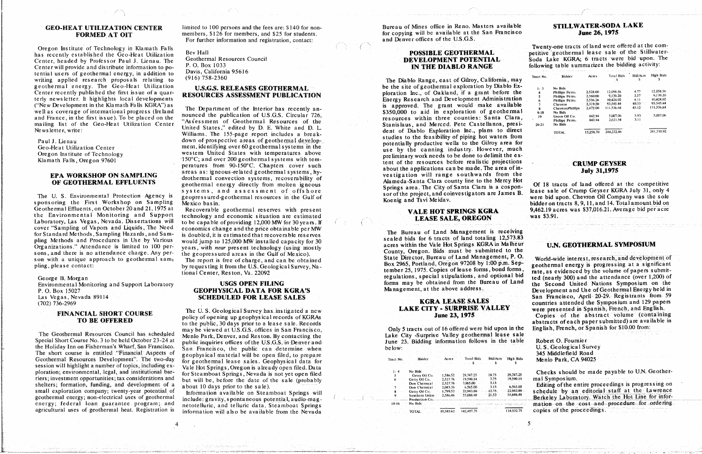has recently established the Geo-Leat Utilization Geothermal Resources Council **DEVELOPMENT POTENTIAL** Soda Lake KGRA; 6 tracts were bid upon. The **CENTER DIABLO RANGE CENTER DIABLO RANGE CENTER BUSINESS EXAMPLE 20** to the bidding activity: **EXECUTER WILL PROVIDE AND DISTRIBUTE III.** BETWEEN TO PO DAVIS, California 95616 tential users of geothermal energy, in addition to writing applied research proposals relating to (916) 758-2360<br>The Diablo Range east of Gilroy California, may geothermal energy. The Geo-Heat Utilization U.S.G.S. RELEASES GEOTHERMAL be the site of geothermal exploration by Diablo Ex Center recently published the first issue of a quar-<br>RESOURCES ASSESSMENT PUBLICATION ploration Inc., of Oakland, if a grant before the terly newsletter. It highlights local developments resources ASSESSMENT FUDERCATION Energy Research and Development Administration the Sevelopment in the Klamath Falls KGRA") as<br>the second of the principal decrees. (Italian and Department of the Interior has recently and Development Administration 6 Phillips Petro. 2004.

## **EPA WORKSHOP ON SAMPLING**

Geothermal Effluents, on October 20 and 21, 1975 at Recoverable geothermal reserves with present **VALE HOT SPRINGS KGRA** Laboratory, Las Vegas, Nevada. Dissertations will to be capable of providing 12.000 MW for 30 years. If cover "Sampling of Vapors and Liquids, The Need economics change and the price obtainable per MW sons, and there is no attendance charge. Any per-<br>son with a unique approach to geothermal sam-<br>State Director, Bureau of Land Management, P.O. World-wide interest, research, and development of son with a unique approach to geothermal sam. The report is free of charge, and can be obtained<br>plug please contact:<br>Rox 2965. Portland, Oregon. 97208 by 1:00 p.m. Sep-

session will highlight a number of topics, including ex-<br>Vale Hot Springs, Oregon is already open filed. Data ploration; environmental, legal, and institutional bar- for Steamboat Springs, Nevada is not yet open filed ploration; environment opportunities; tax considerations and but will be, before the date of the sale (probably shelters; formation, funding, and development of a hout 10 days prior to the sale).<br>
Shelters; formation, funding, and development of a hout 10 days prior to the sale).<br>
The Chemical 2,083.36 6,565.00 3.15 6,565.00 3.15 6, small exploration company; twenty-year potential of hormation available on Steamboat Springs will

GEO-HEAT UTILIZATION CENTER limited to 100 persons and the fees are: \$140 for non-<br>FORMED AT OIT members, \$126 for members, and \$25 for students. 6. The copying will be available at the San Francisco For further information and registration, contact: and Denver offices of the U.S.G.S.

well as coverage of international progress (Ireland and the Department of the interior has recently an-<br>and Fannes in the first issue) Te he pleaded as the nounced the publication of U.S.G.S. Circular 726. and France, in the first issue). To be placed on the nounced the publication of U.S.U.S. Circular 726, resources within three counties: Santa Clara mailing list of the Geo-Heat Utilization Center "Assessment of Geothermal Resources of the Stanislaus, and Merced, Pete Castellanos, president Stanislaus, and Merced, Pete Castellanos, president maning ist of the Geo-heat Othization Center<br>Newsletter, write:<br>Williams. The 155-page report includes a break-<br>Williams. The 155-page report includes a break-<br>Milliams. The 155-page report includes a break-United States and D.L. and D.L. dent of Diablo Exploration Inc., plans to discussed by D.L. dent of Diablo Estates<br>About 13.258.258.269.258.46 25.102.46 25.1024.46 25.102.46 25.46 241.710.710.92.46 241.710.92.46 241.710.92 Newsletter. Write: Newsletter. Write: Williams. The 155-page report includes to the feasibility of piping hot waters for the 155-page report include to the 155-page report in the contract of potentially productive wells to Potentially productive areas of the ment, identifying over 60 geothermal systems in the second productive cannot use by the Canning industry. However, much vestern United States with temperatures above well are by the Cann Klamath Falls, Oregon 97601 150°C; and over 200 geothermal systems with temperature of the resources before realistic projections Factures from 90-150°C. Chapters cover such<br>a bout the applications can be made. The area of in-<br>areas as: igneous-related geothermal systems, hy-<br>constitution in the resources before realistic projections can be made. The areas as: igneous-related geothermal systems, hy-<br>drothermal convection systems, recoverability of *Descriptions* vestigation will range southwards from the *July* **July JI**,1975 **OF GEOTHERMAL EFFLUENTS**<br>
geothermal energy directly from molten igneous<br>
systems, and assessment of offshore<br>
systems, and assessment of offshore geopressured-geothermal resources in the Gulf of the solution of the project, and contract the Mexico basin.

the Environmental Monitoring and Support technology and economic situation are estimated<br>LEASE SALE, OREGON was \$3.91. For Standard Methods, Sampling Hazards, and Sam-<br>
pling Methods and Procedures in Use by Various would jump to 125,000 MW installed capacity for 30 sealed bids for 6 tracts of land totaling 12,573.83 philosophics and there is no attendance charge. Any per-<br>
sons and there is no attendance charge. Any per-<br>
the congressived areas in the California in the Capacity of the Capacity of the Capacity County. Organ, Bids must

FINANCIAL SHORT COURSE THE U.S. Geological survey has instigated a new<br>
TO BE OFFERED policy of opening up geophysical records of KGRAs Copies of the abstract volume (containing<br>
abstracts of each naner submitted) are avai The Geothermal Resources Council has scheduled Menlo Bark Denver and Reson By contacting the Same Islands of the City Surprise Valley geothermal lease sale Menlo Park, Denver, and Reston. By contacting the Lake City -Surprise Valley geothermal lease sale Special Short Course No. 3 to be held October 23-24 at public inquiries offices of the U.S.G.S. in Denver and June 23. Bidding information follows in the table the Holiday Inn on Fisherman's Wharf, San Francisco. San Francisco, the public can determine when U.S. Geological Survey The short course is entitled "Financial Aspects of geophysical material will be open filed, to prepare 345 Middlefield Road Geothermal Resources Development". The two-day for geothermal lease sales. Geophysical data for Tract No. Bidder Acres Total Bids Bid/Acre High Bids **Menlo Park, CA 94025** 

energy agricultural uses of geothermal heat. Registration is information will also be available from the Nevada<br>agricultural uses of geothermal heat. Registration is information will also be available from the Nevada<br>agric agricultural is information will also be available from the Nevada TOTAL 10.5" - 144.532.75 copies of the proceedings<sup>•</sup>

 $\mathcal{F}_\mathcal{A}$  , the set of the set of the set of the set of the set of the set of the set of the set of the set of the set of the set of the set of the set of the set of the set of the set of the set of the set of the se

**For further information and registration, contact:** and Denver of T. Denver of the U.S.G.S.S.G.S.S.S.

preliminary work needs to be done to delimit the ex**klameda-Santa Clara county line to the Mercy Hot** 

regulations, special stipulations, and optional bid

# (**7202) 7**22) **7**39-29 KAKE CITY - SURPRISE VALLEY were presented in Spanish, French, and English.

| Tract No. | <b>Bidder</b>              | Acres     | <b>Total Bids</b> | Bid/Acre | High Bids   |
|-----------|----------------------------|-----------|-------------------|----------|-------------|
|           |                            |           |                   |          |             |
| $1 - 3$   | No Bids<br>Phillips Petro. | 2.528.00  | 12.058.56         | 4.77     | 12,058.56   |
| 4         | Phillips Petro.            | 2,560.00  | 9,139.20          | 3.57     | $-9,139.20$ |
| 6.        | Phillips Petro.            | 2,536.26  | 10.424.02         | 4.11     | 10.424.02   |
|           | Chevron                    | 2.319.50  | 93,545.44         | 40,33    | 93.545.44   |
|           | Chevron/Phillips           | 2.472.00  | 111,536.64        | 45.12    | 111.536.64  |
| $9 - 18$  | No Bids                    |           |                   |          |             |
| 19        | Union Oil Co.              | 842.94    | 5,007.06          | 5.93     | 5.007.06    |
|           | Phillips Petro.            | 842.94    | 2,621.54          | 3,11     |             |
| $20 - 21$ | No Bids                    |           |                   |          |             |
|           | TOTAL                      | 13,258,70 | 244,332.46        |          | 241,710.92  |

Of 18 tracts of land offered at the competitive systems, and assessment of offshore<br>The U.S. Environmental Protection Agency is geopressured-geothermal resources in the Gulf of strategies and convestigators are James B. lease sale of Crump Geyser KGRA July 31, only 4<br>So The U. Sponsoring the First Workshop on Sampling Mexico basin.<br>
Geothermal Effluents, on October 20 and 21, 1975 at Recoverable geothermal reserves with present **VALEMOT SPRINGS KGRA** 9,462.19 acres was \$37,016.21. Average

## **U.N. GEOTHERMAL SYMPOSIUM**

pling, please contact:<br>by requesting it from the U.S. Geological Survey, Na-<br>tember 25, 1975. Copies of lease forms, bond forms, Sond forms, Pate, as evidenced by the volume of papers submitprogressing it from the U.S. Geological Survey, Na-<br>tember 25, 1975. Copies of lease forms, bond forms, and optional bid and the volume of papers submit-<br>ted (nearly 300) and the attendance (over 1.200) of George B. Morgan regulations, special stipulations, and optional bid ted (nearly 300) and the attendance (over 1,200) or<br>Environmental Monitoring and Support Laboratory **USGS OPEN FILING** forms may be obtained from the Bur P. O. Box 15027 **EXECUTE OF A SECUTE AND SECUTE ASSES** Management, at the above address. Las Vegas, Nevada 89114 SCHEDULED FOR LEASE SALES SALES SALES SALES SALES SALES SALES SALES SALES SALES SALES **LACAL SECONDED EVALUATION K**OR LEADED SALES SALES countries attended the Symposium and 129 papers

policy of opening up geophysical records of KGRAs June 23, and KGRAS abstracts of each paper submitted) are available in

Robert O. Fournier

**Checks should** be made payable to U.N. Geother-<br>90.14 mal Symposium,

southermal energy; non-electrical uses of geothermal include: gravity, spontaneous potential, audio-mag-<br>energy; federal loan guarantee program; and netotelluric and telluric data Steamboat Springs will be by an editorial netotelluric, and telluric data, Steamboat Springs<br>netotelluric, and telluric data, Steamboat Springs

| Tract No. | Bidder         | Acres     | <b>Total Bids</b> | Bid/Acre | High Bid  |
|-----------|----------------|-----------|-------------------|----------|-----------|
|           |                |           |                   |          |           |
|           | No Bids        |           |                   |          |           |
|           | Getty Oil Co.  | 1.586.52  | 29,747.25         | 18.75    | 29.747.2  |
|           | Getty Oil Co.  | 2.527.76  | 19.590.14.        | - 7:75   | 19,590.1  |
|           | Dow Chemical   | 2.527.76  | -2.965.00         | $-3.15$  |           |
|           | Dow Chemical   | 2,083.36  | 6.565.00          | 3.15     | 6.565.0   |
|           | Getty Oil Co.  | 1.799.52  | 22.943.88         | 12.75    | 22.943.8  |
| ٠Q        | Southern Union | 2.586.46  | 55,686.48         | 21.53    | 55,686.4  |
|           | Production Co. |           |                   |          |           |
| $10 - 16$ | No Bids.       |           |                   |          |           |
|           | TOTAL          | 10.583.62 | 142,497.75        |          | 134,532.7 |

## STILLWATER-SODA LAKE

Oregon Institute of Technology in Klamath Falls **Example 1999** Bey Hall **The Control Control** Controller Controller Controller Controller Controller Controller Controller Controller Controller Controller Controller Control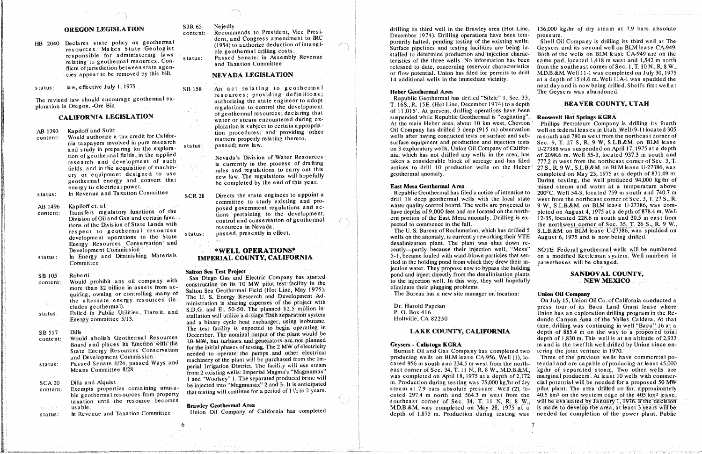responsible for administering laws status: Passed Senate in Assembly Revenue

law, effective July 1, 1975 status:

AB 1293

Kapiloff and Suitt.

status:

- Kapiloff et. al. AB 1496
- 

SB 517 Dills **COUNTR** COUNTROLLER **COUNTR** COUNTROLLER **COUNTR** COUNTROLLER **COUNTROLLER COUNTROLLER COUNTR** COUNTROLLER **COUNTROLLER COUNTROLLER COUNTROLLER COUNTROLLER COUNTROLLER COUNTROLLER COUNTROLLER COUNTROLLER COUN** Passed Senate 6/24, passed Ways and Dills and Alquist **SCA 20** 

ble geothermal resources from property

Nejedly **SJR 65** 

**OREGON LEGISLATION** SJR 65 Nejedly<br>content: Recommends to President, Vice President<br>dent, and Congress amendment to IRC

control and conservation of geothermal

Would prohibit any off company with sometruction on its 10 MW pilot test facility in the more than \$2 billion in assets from  $ac$ -<br>Saltar Sac Gasthaumal Elald (Hat I ine May 1975) more than \$2 billion in assets from access construction on its 10 MW phot test facing in the<br>quiring, owning or controlling many of Salton Sea Geothermal Field (Hot Line, May 1975).<br>The Bureau has a new site manager on loc the alternate energy resources (in-<br>ministration is sharing expenses of the project with The U.S. Every resources (in-<br>
resources (in-<br>
Failed in Public Utilities, Transit, and<br>
Failed in Public Utilities, Transit, and<br>
S.D.G. and E., 50-50. The planned \$2.5 million in-<br>
Failed in Public Utilities, Transit, an eluder and E<sub>i</sub>, 50-50. The planned \$2.5 million in-<br>P. O. Box 416 **P.** O. Box 416 **Discussion** Driess tour of its **Baca** Land Grant lease where status: Failed in Public Utilities, Transit, and 8.19.9. The planned stallation will utilize a 4-stage flash separation system and a binary cycle heat exchanger, using isobutane. The test facility is expected to begin operating in the set of the plant would be **LAKE COUNTY, CALIFORNIA** time, drilling was continuing in well "Baca" 16 at a proposed total The initial output of the plant would be<br> **LARE COUNTI, CALIFURNIA** depth of 885.4 m on the way to a proposed total<br>
depth of 1,830 m. This well is at an altitude of 2,933 would abolish Geothermal Resources<br>Board and places its function with the<br>formal form the initial phases of testing. The 2 MW of electricity Board and places its function with the form of the initial phases of testing. The 2 MW of electricity<br>State Energy Resources Conservation for the initial phases of testing. The 2 MW of electricity because of the<br>Burmah Oil status: **Passed Senate 6/24**, passed Ways and maximum perial Irrigation District. The facility will use steam perial Irrigation District. The facility will use steam 1 and "Woolsey" 1. The separated produced brine will

drilling its third well in the Brawley area (Hot Line,  $136,000 \text{ kg/hr}$  of dry steam at 7.9 bars absolute commends to President: Pressure.<br>Cornerily halted, pending testing of the existing wells. Shell Oil Company is drilling its third well at The dent, and Congress amendment to IRC performant portarily halted, pending testing of the existing wells. Shell Oil Company is drilling its third well at The (1954) to authorize deduction of intangi-<br>Surface pipelines and te HB 2040 Declares state policy on geothermal with the existing wells.<br>
resources. Makes State Geologist ble geothermal drilling costs.<br>
ble geothermal drilling costs. Both of the wells on BLM lease CA-949 are on the stalled to determine production and injection characresponsible for administering laws ble geothermal resources. Con-<br>
and Taxation Committee pipelines are being to and its second in- Geysers and Taxation Committee Costs. No information has been and Its second 1,418 m west The state agen-<br>
The state agen-<br>
The state of light of fluits of jurisdiction between state agen-<br>
The state of the sender to be removed by this bill.<br>
NEVARA LECISE ATION **filition** of the concerning of the removed by this bill. **NEVADA LEGISLATION** or flow potential. Union has filed for permits to drill 14 additional wells in the immediate vicinity. at a depth of 1514.6 m. Well 11A-1 was spudded the  $n \times 1$  and is now being drilled. Shell's first well at status: law, effective July 1, 1975 SB 158 An act relating to geothermal next as a second the match of the second of the second of the second of the second of the second of the state engineer to adopt the state engineer to

resources; providing definitions;<br> **Hebrar** *Heberal Republic Geothermal has drilled* "Silzle" 1, Sec. 33,<br>
T. 16S., R. 15E. (Hot Line, December 1974) to a depth **BEAVER COUNTY, UTAH** ploration in Oregon. -Ore Bin<br>
regulations to control the development<br>
of 11.015', At present, drilling operations have been<br>
of 11.015', At present, drilling operations have been CALIFORNIA LEGISLATION of geothermal resources; declaring that or 11,015. At present, grilling operations have been<br>CALIFORNIA LEGISLATION sustants and continue of the memorial during exwater or steam encountered during ex-<br>ploration is subject to certain appropria-<br>City Command Heber area, about 10 km west, Chevron Phillips Petroleum Company is drilling its fourth on 3 exploratory wells. Union Oil Company of Califor-

energy to example of the state engineer to appoint a<br> **Example 2018** Geothermal has filed a notice of intention to<br> **A**rresponding to the mile with the legal state committee to study existing and pro-<br>posed government regulations and ac-<br>control board. The wells are projected to

The U.S. Bureau of Reclamation, which has drilled 5 S.L.B. &M. on BLM lease U-27386, was spudded on<br>The U.S. Bureau of Reclamation, which has drilled 5 S.L.B. &M. on BLM lease U-27386, was spudded on references to the State Status: passed, presently in check.<br>Wells on the anomaly, is currently reworking their VTE August 6, 1975 and is now being drilled. Energy Resources Conservation and the State state status: passed, present on the State status: passed, present the anomaly, in the anomaly, is desalinization plant. The plant was shut down re-Development Commission" \*WELL OPERATIONS\* cently-partly because their injection well, "Mesa" Development Commission \*WELL OPERATIONS\* cently--partly because their injection well, "Mesa" NOTE: Federal geothermal wells will be numbered<br>IMPERIAL COUNTY, CALIFORNIA 5-1, became fouled with wind-blown particles that set status: In Energy and Diminishing Materials **IMPERIAL COUNTY, CALIFORNIA** 2.1, became fouled with wind-blown particles that set-<br>Committee Committee contracts will be changed. **Committee Salton Sea Test Project** between the holding propose now to bypass the holding pond and inject the decell intervals and intervals and intervals and intervals and intervals are parts of decelling plants. Salton Sea Test Project Salton Sea Test Project started<br>
content: Would prohibit any oil company with San Diego Gas and Electric Company has started to the inject directly from the desalinization plants<br>
to the injection w

 $\mathbf{S}$  for the set of the set of the set of the set of the set of the set of the set of the set of the set of the set of the set of the set of the set of the set of the set of the set of the set of the set of the set of

State energy resources conservation and needed to operate the pumps and other electrical<br>and Development Commission. The media of the plant will be purchased from the Im-<br>producing wells on BLM lease CA-956. Well (1), lo machinery of the plant will be purchased from the Im-<br>cated 956 m south and 234.5 m west from the north-tential and are capable of producing at least 45,000 east corner of Sec. 34, T. 11 N., R. 8 W., M.D.B.&M., kg/hr of separated steam. Two other wells are<br>trom 2 existing wells: Imperial Magma's "Magmamax" east corner of Sec. 34, T. 11 N., R. 8 W., M.D.B.&M., kg/hr of separate be injected into "Magnamax" 2 and 3. It is anticipated<br>be injected into "Magnamax" 2 and 3. It is a material of the steam at 7.9 bars absolute pressure. Well (2), lo<br>steam at 7.9 bars absolute pressure. Well (2), lo-pilot content: Exempts properties containing unusa-<br>ble geothermal resources from property that testing will continue for a period of 1<sup>1</sup>/<sub>2</sub> to 2 years.<br>cated 297.4 m north and 564.3 m west from the 40.5 km<sup>2</sup> on the western e taxation until the resource becomes example is contrast corner of Sec. 34, T. 11 N, R. 8 W., will be evaluated by January 1, 1976. If the decision taxation until the resource becomes southeast correct correct correct correct correct correct correct correct corner of Sec. 34, T. 1444, W. T. 1444, W. T. 1444, W. 28, 1975 at a is made to develop the area, at least 3 yea In Revenue and Taxation Committee Union Oil Company of California has completed depth of 1,875 m. Production during testing was needed for completion of the power plant. Public **s**tatus: in Revenue and Taxation Committee Union Oil Company of California has completed depth of t.875 m. Prod*u*ction during testing was needed for completion of the power plan**t**. P*u*blic

ploration is subject to certain appropria-<br>tion procedures; and providing other of the content of the content of the content of the content of the content<br>wells after having conducted tests on surface and sub-<br>m south and content: Would authorize a tax credit for Califorcial content of matters properly relating thereto.<br>
nia taxpayers involved in pure research catarum catarum passed now law nia taxpayers involved in pure research matters properly relating thereto.<br>and study in preparing for the explora-<br>on 3 exploratory wells. Union Oil Company of Califor- U-27388 was suspended on April 17, 1975 at a depth tion of geothermal fields, in the applied Nevada's Division of Water Resources his, which has not drilled any wells in the area, has of 2098.6 m. Well 55-3, located 937.3 m south and research and development of such is currently in the process of drafting taken a considerable block of acreage and has filed 777.2 m west from the northeast corner of Sec. 3, T. research and in the acquisition of machin-<br>rules and regulations to carry out this notices to drill 10 production wells on the Heber 27 S., R. 9 W., S.L.B.&M. on BLM lease U-27386, was ery or equipment designed to use hew law. The regulations will hopefully geothermal anomaly. completed on May 23, 1975 at a depth of 831.49 m. geothermal energy and convert that the regulations will hopefully will hopefully be completed by the end of this year. geothermal Area and Section and water at a temperature above.<br>In Revenue and Taxation Committee complete the state engineer to appoint a Republic Geothermal has filed a notice of intention to 200°C. Well 54-3, located 759 status: In Policets the status engineer to appoint a committee to study existing and pro-<br>committee to study existing and pro-<br>water quality control board. The wells are projected to 9 W., S.L.B.&M. on BLM lease U-27386, w Fransfers regulatory functions of the posed government regulations and ac-<br>
Transfers regulatory functions of the seconomic control board of the development,<br>
2014 The pleted on August 4, 1975 at a depth of 878.4 m. Well<br>  $12-35$ , located 228.6 m south and 30.5 m east from division of State Lands with resources in Nevada. Providence of the East Accommence in the fall. The northwest corner of Sec. 35, T. 26.5 m. R. 9 W.,

Energy Committee 51/13. Holtville, CA 82250<br>dondo Canyon Area of the Valles Caldera. At that<br>time, drilling was continuing in well "Baca" 16 at a